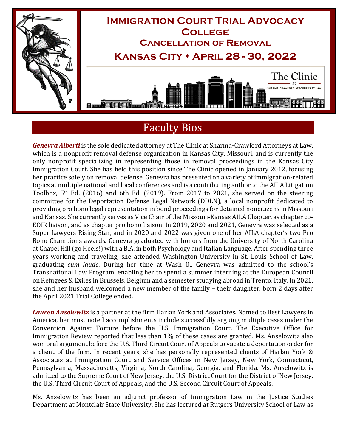

## Faculty Bios

*Genevra Alberti* is the sole dedicated attorney at The Clinic at Sharma-Crawford Attorneys at Law, which is a nonprofit removal defense organization in Kansas City, Missouri, and is currently the only nonprofit specializing in representing those in removal proceedings in the Kansas City Immigration Court. She has held this position since The Clinic opened in January 2012, focusing her practice solely on removal defense. Genevra has presented on a variety of immigration-related topics at multiple national and local conferences and is a contributing author to the AILA Litigation Toolbox, 5th Ed. (2016) and 6th Ed. (2019). From 2017 to 2021, she served on the steering committee for the Deportation Defense Legal Network (DDLN), a local nonprofit dedicated to providing pro bono legal representation in bond proceedings for detained noncitizens in Missouri and Kansas. She currently serves as Vice Chair of the Missouri-Kansas AILA Chapter, as chapter co-EOIR liaison, and as chapter pro bono liaison. In 2019, 2020 and 2021, Genevra was selected as a Super Lawyers Rising Star, and in 2020 and 2022 was given one of her AILA chapter's two Pro Bono Champions awards. Genevra graduated with honors from the University of North Carolina at Chapel Hill (go Heels!) with a B.A. in both Psychology and Italian Language. After spending three years working and traveling, she attended Washington University in St. Louis School of Law, graduating *cum laude*. During her time at Wash U., Genevra was admitted to the school's Transnational Law Program, enabling her to spend a summer interning at the European Council on Refugees & Exiles in Brussels, Belgium and a semester studying abroad in Trento, Italy. In 2021, she and her husband welcomed a new member of the family – their daughter, born 2 days after the April 2021 Trial College ended.

*Lauren Anselowitz* is a partner at the firm Harlan York and Associates. Named to Best Lawyers in America, her most noted accomplishments include successfully arguing multiple cases under the Convention Against Torture before the U.S. Immigration Court. The Executive Office for Immigration Review reported that less than 1% of these cases are granted. Ms. Anselowitz also won oral argument before the U.S. Third Circuit Court of Appeals to vacate a deportation order for a client of the firm. In recent years, she has personally represented clients of Harlan York & Associates at Immigration Court and Service Offices in New Jersey, New York, Connecticut, Pennsylvania, Massachusetts, Virginia, North Carolina, Georgia, and Florida. Ms. Anselowitz is admitted to the Supreme Court of New Jersey, the U.S. District Court for the District of New Jersey, the U.S. Third Circuit Court of Appeals, and the U.S. Second Circuit Court of Appeals.

Ms. Anselowitz has been an adjunct professor of Immigration Law in the Justice Studies Department at Montclair State University. She has lectured at Rutgers University School of Law as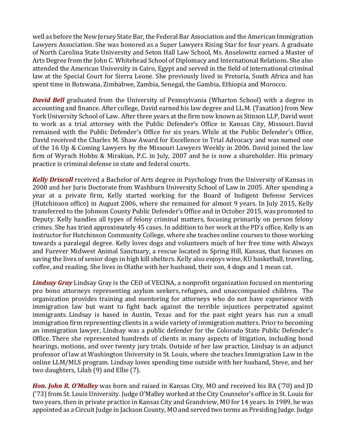well as before the New Jersey State Bar, the Federal Bar Association and the American Immigration Lawyers Association. She was honored as a Super Lawyers Rising Star for four years. A graduate of North Carolina State University and Seton Hall Law School, Ms. Anselowitz earned a Master of Arts Degree from the John C. Whitehead School of Diplomacy and International Relations. She also attended the American University in Cairo, Egypt and served in the field of international criminal law at the Special Court for Sierra Leone. She previously lived in Pretoria, South Africa and has spent time in Botswana, Zimbabwe, Zambia, Senegal, the Gambia, Ethiopia and Morocco.

*David Bell* graduated from the University of Pennsylvania (Wharton School) with a degree in accounting and finance. After college, David earned his law degree and LL.M. (Taxation) from New York University School of Law. After three years at the firm now known as Stinson LLP, David went to work as a trial attorney with the Public Defender's Office in Kansas City, Missouri. David remained with the Public Defender's Office for six years. While at the Public Defender's Office, David received the Charles M. Shaw Award for Excellence in Trial Advocacy and was named one of the 16 Up & Coming Lawyers by the Missouri Lawyers Weekly in 2006. David joined the law firm of Wyrsch Hobbs & Mirakian, P.C. in July, 2007 and he is now a shareholder. His primary practice is criminal defense in state and federal courts.

*Kelly Driscoll* received a Bachelor of Arts degree in Psychology from the University of Kansas in 2000 and her Juris Doctorate from Washburn University School of Law in 2005. After spending a year at a private firm, Kelly started working for the Board of Indigent Defense Services (Hutchinson office) in August 2006, where she remained for almost 9 years. In July 2015, Kelly transferred to the Johnson County Public Defender's Office and in October 2015, was promoted to Deputy. Kelly handles all types of felony criminal matters, focusing primarily on person felony crimes. She has tried approximately 45 cases. In addition to her work at the PD's office, Kelly is an instructor for Hutchinson Community College, where she teaches online courses to those working towards a paralegal degree. Kelly loves dogs and volunteers much of her free time with Always and Furever Midwest Animal Sanctuary, a rescue located in Spring Hill, Kansas, that focuses on saving the lives of senior dogs in high kill shelters. Kelly also enjoys wine, KU basketball, traveling, coffee, and reading. She lives in Olathe with her husband, their son, 4 dogs and 1 mean cat.

*Lindsay Gray* Lindsay Gray is the CEO of VECINA, a nonprofit organization focused on mentoring pro bono attorneys representing asylum seekers, refugees, and unaccompanied children. The organization provides training and mentoring for attorneys who do not have experience with immigration law but want to fight back against the terrible injustices perpetrated against immigrants. Lindsay is based in Austin, Texas and for the past eight years has run a small immigration firm representing clients in a wide variety of immigration matters. Prior to becoming an immigration lawyer, Lindsay was a public defender for the Colorado State Public Defender's Office. There she represented hundreds of clients in many aspects of litigation, including bond hearings, motions, and over twenty jury trials. Outside of her law practice, Lindsay is an adjunct professor of law at Washington University in St. Louis, where she teaches Immigration Law in the online LLM/MLS program. Lindsay loves spending time outside with her husband, Steve, and her two daughters, Lilah (9) and Ellie (7).

*Hon. John R. O'Malley* was born and raised in Kansas City, MO and received his BA ('70) and JD ('73) from St. Louis University. Judge O'Malley worked at the City Counselor's office in St. Louis for two years, then in private practice in Kansas City and Grandview, MO for 14 years. In 1989, he was appointed as a Circuit Judge in Jackson County, MO and served two terms as Presiding Judge. Judge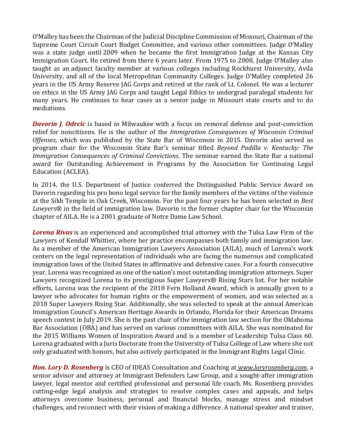O'Malley has been the Chairman of the Judicial Discipline Commission of Missouri, Chairman of the Supreme Court Circuit Court Budget Committee, and various other committees. Judge O'Malley was a state judge until 2009 when he became the first Immigration Judge at the Kansas City Immigration Court. He retired from there 6 years later. From 1975 to 2008, Judge O'Malley also taught as an adjunct faculty member at various colleges including Rockhurst University, Avila University, and all of the local Metropolitan Community Colleges. Judge O'Malley completed 26 years in the US Army Reserve JAG Corps and retired at the rank of Lt. Colonel. He was a lecturer on ethics in the US Army JAG Corps and taught Legal Ethics to undergrad paralegal students for many years. He continues to hear cases as a senior judge in Missouri state courts and to do mediations.

**Davorin J. Odrcic** is based in Milwaukee with a focus on removal defense and post-conviction relief for noncitizens. He is the author of the *Immigration Consequences of Wisconsin Criminal Offenses*, which was published by the State Bar of Wisconsin in 2015. Davorin also served as program chair for the Wisconsin State Bar's seminar titled *Beyond Padilla v. Kentucky: The Immigration Consequences of Criminal Convictions*. The seminar earned the State Bar a national award for Outstanding Achievement in Programs by the Association for Continuing Legal Education (ACLEA).

In 2014, the U.S. Department of Justice conferred the Distinguished Public Service Award on Davorin regarding his pro bono legal service for the family members of the victims of the violence at the Sikh Temple in Oak Creek, Wisconsin. For the past four years he has been selected in *Best Lawyers*® in the field of immigration law. Davorin is the former chapter chair for the Wisconsin chapter of AILA. He is a 2001 graduate of Notre Dame Law School.

*Lorena Rivas* is an experienced and accomplished trial attorney with the Tulsa Law Firm of the Lawyers of Kendall Whittier, where her practice encompasses both family and immigration law. As a member of the American Immigration Lawyers Association (AILA), much of Lorena's work centers on the legal representation of individuals who are facing the numerous and complicated immigration laws of the United States in affirmative and defensive cases. For a fourth consecutive year, Lorena was recognized as one of the nation's most outstanding immigration attorneys. Super Lawyers recognized Lorena to its prestigious Super Lawyers® Rising Stars list. For her notable efforts, Lorena was the recipient of the 2018 Fern Holland Award, which is annually given to a lawyer who advocates for human rights or the empowerment of women, and was selected as a 2018 Super Lawyers Rising Star. Additionally, she was selected to speak at the annual American Immigration Council's American Heritage Awards in Orlando, Florida for their American Dreams speech contest in July 2019. She is the past chair of the immigration law section for the Oklahoma Bar Association (OBA) and has served on various committees with AILA. She was nominated for the 2015 Williams Women of Inspiration Award and is a member of Leadership Tulsa Class 60. Lorena graduated with a Juris Doctorate from the University of Tulsa College of Law where she not only graduated with honors, but also actively participated in the Immigrant Rights Legal Clinic.

*Hon. Lory D. Rosenberg* is CEO of IDEAS Consultation and Coaching at *[www.loryrosenberg.com](http://www.loryrosenberg.com/)*, a senior advisor and attorney at Immigrant Defenders Law Group, and a sought-after immigration lawyer, legal mentor and certified professional and personal life coach. Ms. Rosenberg provides cutting-edge legal analysis and strategies to resolve complex cases and appeals, and helps attorneys overcome business, personal and financial blocks, manage stress and mindset challenges, and reconnect with their vision of making a difference. A national speaker and trainer,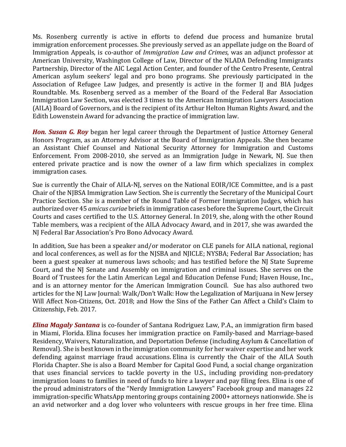Ms. Rosenberg currently is active in efforts to defend due process and humanize brutal immigration enforcement processes. She previously served as an appellate judge on the Board of Immigration Appeals, is co-author of *Immigration Law and Crimes*, was an adjunct professor at American University, Washington College of Law, Director of the NLADA Defending Immigrants Partnership, Director of the AIC Legal Action Center, and founder of the Centro Presente, Central American asylum seekers' legal and pro bono programs. She previously participated in the Association of Refugee Law Judges, and presently is active in the former IJ and BIA Judges Roundtable. Ms. Rosenberg served as a member of the Board of the Federal Bar Association Immigration Law Section, was elected 3 times to the American Immigration Lawyers Association (AILA) Board of Governors, and is the recipient of its Arthur Helton Human Rights Award, and the Edith Lowenstein Award for advancing the practice of immigration law.

*Hon. Susan G. Roy* began her legal career through the Department of Justice Attorney General Honors Program, as an Attorney Advisor at the Board of Immigration Appeals. She then became an Assistant Chief Counsel and National Security Attorney for Immigration and Customs Enforcement. From 2008-2010, she served as an Immigration Judge in Newark, NJ. Sue then entered private practice and is now the owner of a law firm which specializes in complex immigration cases.

Sue is currently the Chair of AILA-NJ, serves on the National EOIR/ICE Committee, and is a past Chair of the NJBSA Immigration Law Section. She is currently the Secretary of the Municipal Court Practice Section. She is a member of the Round Table of Former Immigration Judges, which has authorized over 45 *amicus curiae* briefs in immigration cases before the Supreme Court, the Circuit Courts and cases certified to the U.S. Attorney General. In 2019, she, along with the other Round Table members, was a recipient of the AILA Advocacy Award, and in 2017, she was awarded the NJ Federal Bar Association's Pro Bono Advocacy Award.

In addition, Sue has been a speaker and/or moderator on CLE panels for AILA national, regional and local conferences, as well as for the NJSBA and NJICLE; NYSBA; Federal Bar Association; has been a guest speaker at numerous laws schools; and has testified before the NJ State Supreme Court, and the NJ Senate and Assembly on immigration and criminal issues. She serves on the Board of Trustees for the Latin American Legal and Education Defense Fund; Haven House, Inc., and is an attorney mentor for the American Immigration Council. Sue has also authored two articles for the NJ Law Journal: Walk/Don't Walk: How the Legalization of Marijuana in New Jersey Will Affect Non-Citizens, Oct. 2018; and How the Sins of the Father Can Affect a Child's Claim to Citizenship, Feb. 2017.

*Elina Magaly Santana* is co-founder of Santana Rodriguez Law, P.A., an immigration firm based in Miami, Florida. Elina focuses her immigration practice on Family-based and Marriage-based Residency, Waivers, Naturalization, and Deportation Defense (including Asylum & Cancellation of Removal). She is best known in the immigration community for her waiver expertise and her work defending against marriage fraud accusations. Elina is currently the Chair of the AILA South Florida Chapter. She is also a Board Member for Capital Good Fund, a social change organization that uses financial services to tackle poverty in the U.S., including providing non-predatory immigration loans to families in need of funds to hire a lawyer and pay filing fees. Elina is one of the proud administrators of the "Nerdy Immigration Lawyers" Facebook group and manages 22 immigration-specific WhatsApp mentoring groups containing 2000+ attorneys nationwide. She is an avid networker and a dog lover who volunteers with rescue groups in her free time. Elina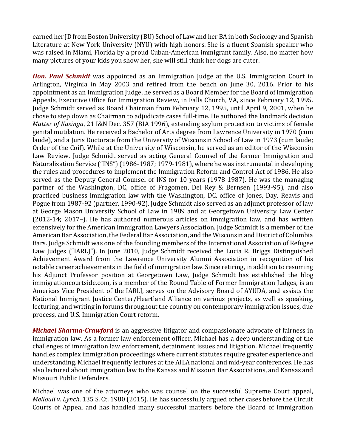earned her JD from Boston University (BU) School of Law and her BA in both Sociology and Spanish Literature at New York University (NYU) with high honors. She is a fluent Spanish speaker who was raised in Miami, Florida by a proud Cuban-American immigrant family. Also, no matter how many pictures of your kids you show her, she will still think her dogs are cuter.

*Hon. Paul Schmidt* was appointed as an Immigration Judge at the U.S. Immigration Court in Arlington, Virginia in May 2003 and retired from the bench on June 30, 2016. Prior to his appointment as an Immigration Judge, he served as a Board Member for the Board of Immigration Appeals, Executive Office for Immigration Review, in Falls Church, VA, since February 12, 1995. Judge Schmidt served as Board Chairman from February 12, 1995, until April 9, 2001, when he chose to step down as Chairman to adjudicate cases full-time. He authored the landmark decision *Matter of Kasinga*, 21 I&N Dec. 357 (BIA 1996), extending asylum protection to victims of female genital mutilation. He received a Bachelor of Arts degree from Lawrence University in 1970 (cum laude), and a Juris Doctorate from the University of Wisconsin School of Law in 1973 (cum laude; Order of the Coif). While at the University of Wisconsin, he served as an editor of the Wisconsin Law Review. Judge Schmidt served as acting General Counsel of the former Immigration and Naturalization Service ("INS") (1986-1987; 1979-1981), where he was instrumental in developing the rules and procedures to implement the Immigration Reform and Control Act of 1986. He also served as the Deputy General Counsel of INS for 10 years (1978-1987). He was the managing partner of the Washington, DC, office of Fragomen, Del Rey & Bernsen (1993-95), and also practiced business immigration law with the Washington, DC, office of Jones, Day, Reavis and Pogue from 1987-92 (partner, 1990-92). Judge Schmidt also served as an adjunct professor of law at George Mason University School of Law in 1989 and at Georgetown University Law Center (2012-14; 2017–). He has authored numerous articles on immigration law, and has written extensively for the American Immigration Lawyers Association. Judge Schmidt is a member of the American Bar Association, the Federal Bar Association, and the Wisconsin and District of Columbia Bars. Judge Schmidt was one of the founding members of the International Association of Refugee Law Judges ("IARLJ"). In June 2010, Judge Schmidt received the Lucia R. Briggs Distinguished Achievement Award from the Lawrence University Alumni Association in recognition of his notable career achievements in the field of immigration law. Since retiring, in addition to resuming his Adjunct Professor position at Georgetown Law, Judge Schmidt has established the blog immigrationcourtside.com, is a member of the Round Table of Former Immigration Judges, is an Americas Vice President of the IARLJ, serves on the Advisory Board of AYUDA, and assists the National Immigrant Justice Center/Heartland Alliance on various projects, as well as speaking, lecturing, and writing in forums throughout the country on contemporary immigration issues, due process, and U.S. Immigration Court reform.

*Michael Sharma-Crawford* is an aggressive litigator and compassionate advocate of fairness in immigration law. As a former law enforcement officer, Michael has a deep understanding of the challenges of immigration law enforcement, detainment issues and litigation. Michael frequently handles complex immigration proceedings where current statutes require greater experience and understanding. Michael frequently lectures at the AILA national and mid-year conferences. He has also lectured about immigration law to the Kansas and Missouri Bar Associations, and Kansas and Missouri Public Defenders.

Michael was one of the attorneys who was counsel on the successful Supreme Court appeal, *Mellouli v. Lynch*, 135 S. Ct. 1980 (2015). He has successfully argued other cases before the Circuit Courts of Appeal and has handled many successful matters before the Board of Immigration